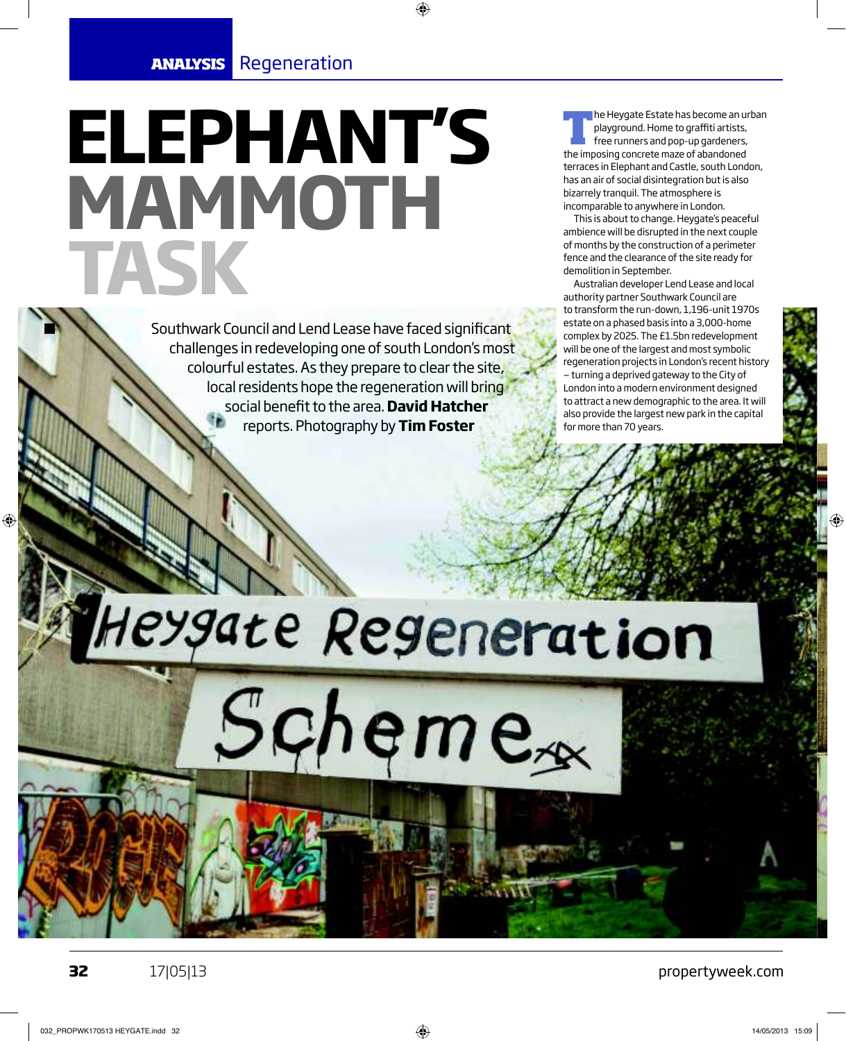# **ELEPHANT'S MAMMOTH TASK**

Southwark Council and Lend Lease have faced significant challenges in redeveloping one of south London's most colourful estates. As they prepare to clear the site, local residents hope the regeneration will bring social benefit to the area. **David Hatcher** reports. Photography by **Tim Foster**

**T** he Heygate Estate has become an urban playground. Home to graffiti artists, free runners and pop-up gardeners, the imposing concrete maze of abandoned terraces in Elephant and Castle, south London, has an air of social disintegration but is also bizarrely tranquil. The atmosphere is incomparable to anywhere in London.

This is about to change. Heygate's peaceful ambience will be disrupted in the next couple of months by the construction of a perimeter fence and the clearance of the site ready for demolition in September.

Australian developer Lend Lease and local authority partner Southwark Council are to transform the run-down, 1,196-unit 1970s estate on a phased basis into a 3,000-home complex by 2025. The £1.5bn redevelopment will be one of the largest and most symbolic regeneration projects in London's recent history — turning a deprived gateway to the City of London into a modern environment designed to attract a new demographic to the area. It will also provide the largest new park in the capital for more than 70 years.

# texgate Regeneration Schemex

♠

♠

**32** 17|05|13

propertyweek.com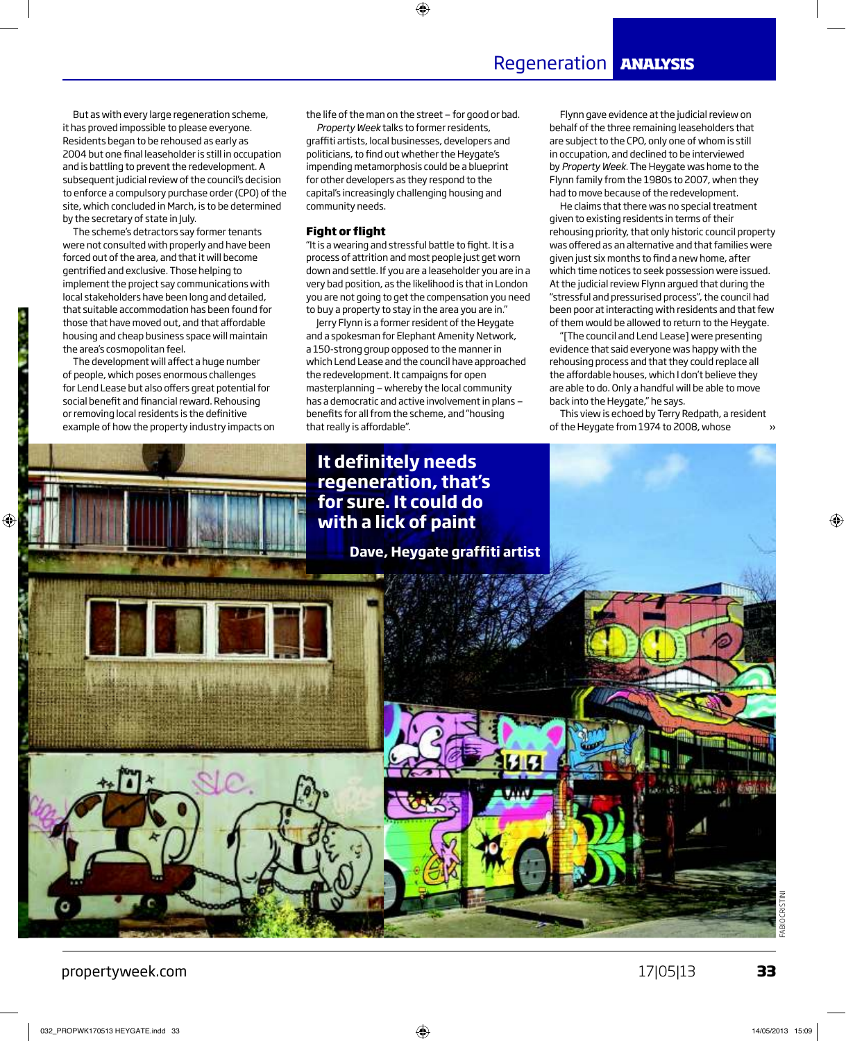But as with every large regeneration scheme, it has proved impossible to please everyone. Residents began to be rehoused as early as 2004 but one final leaseholder is still in occupation and is battling to prevent the redevelopment. A subsequent judicial review of the council's decision to enforce a compulsory purchase order (CPO) of the site, which concluded in March, is to be determined by the secretary of state in July.

The scheme's detractors say former tenants were not consulted with properly and have been forced out of the area, and that it will become gentrified and exclusive. Those helping to implement the project say communications with local stakeholders have been long and detailed, that suitable accommodation has been found for those that have moved out, and that affordable housing and cheap business space will maintain the area's cosmopolitan feel.

The development will affect a huge number of people, which poses enormous challenges for Lend Lease but also offers great potential for social benefit and financial reward. Rehousing or removing local residents is the definitive example of how the property industry impacts on the life of the man on the street — for good or bad.

♠

*Property Week* talks to former residents, graffiti artists, local businesses, developers and politicians, to find out whether the Heygate's impending metamorphosis could be a blueprint for other developers as they respond to the capital's increasingly challenging housing and community needs.

#### **Fight or flight**

"It is a wearing and stressful battle to fight. It is a process of attrition and most people just get worn down and settle. If you are a leaseholder you are in a very bad position, as the likelihood is that in London you are not going to get the compensation you need to buy a property to stay in the area you are in."

Jerry Flynn is a former resident of the Heygate and a spokesman for Elephant Amenity Network, a 150-strong group opposed to the manner in which Lend Lease and the council have approached the redevelopment. It campaigns for open masterplanning — whereby the local community has a democratic and active involvement in plans benefits for all from the scheme, and "housing that really is affordable".

Flynn gave evidence at the judicial review on behalf of the three remaining leaseholders that are subject to the CPO, only one of whom is still in occupation, and declined to be interviewed by *Property Week*. The Heygate was home to the Flynn family from the 1980s to 2007, when they had to move because of the redevelopment.

Regeneration **ANALYSIS**

He claims that there was no special treatment given to existing residents in terms of their rehousing priority, that only historic council property was offered as an alternative and that families were given just six months to find a new home, after which time notices to seek possession were issued. At the judicial review Flynn argued that during the "stressful and pressurised process", the council had been poor at interacting with residents and that few of them would be allowed to return to the Heygate.

"[The council and Lend Lease] were presenting evidence that said everyone was happy with the rehousing process and that they could replace all the affordable houses, which I don't believe they are able to do. Only a handful will be able to move back into the Heygate," he says.

This view is echoed by Terry Redpath, a resident of the Heygate from 1974 to 2008, whose



propertyweek.com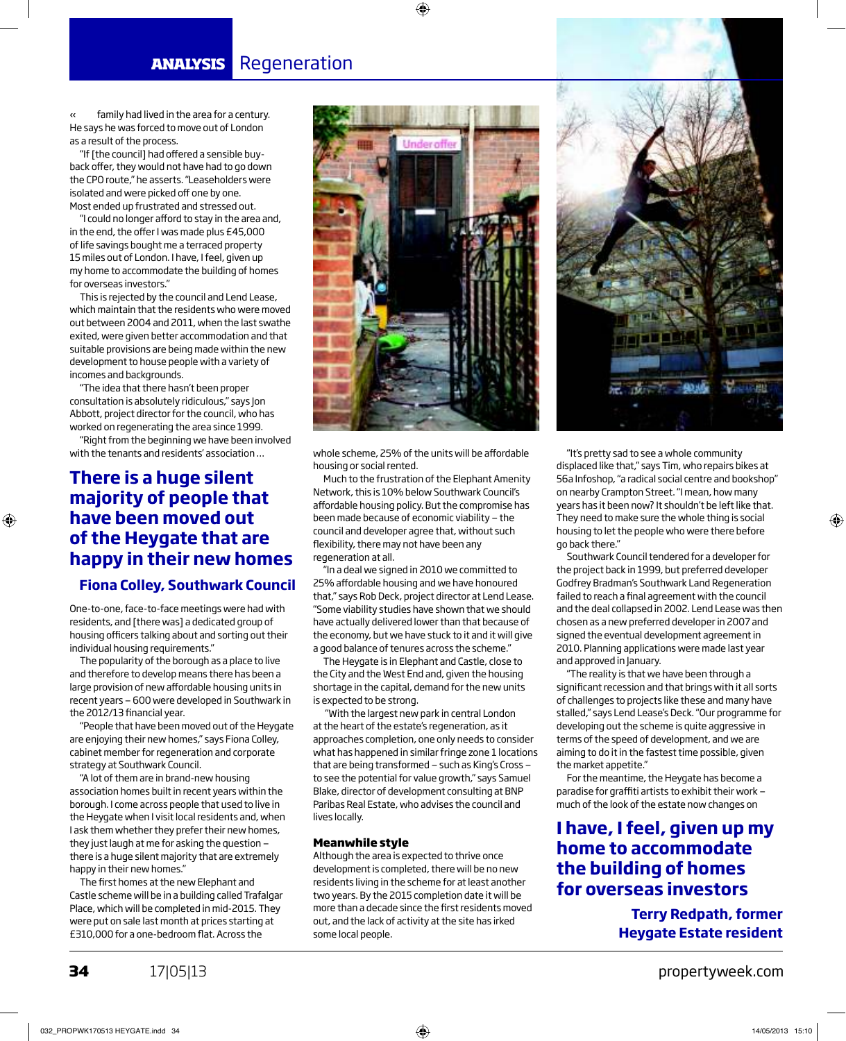family had lived in the area for a century. He says he was forced to move out of London as a result of the process. «

"If [the council] had offered a sensible buyback offer, they would not have had to go down the CPO route," he asserts. "Leaseholders were isolated and were picked off one by one. Most ended up frustrated and stressed out.

"I could no longer afford to stay in the area and, in the end, the offer I was made plus £45,000 of life savings bought me a terraced property 15 miles out of London. I have, I feel, given up my home to accommodate the building of homes for overseas investors."

This is rejected by the council and Lend Lease, which maintain that the residents who were moved out between 2004 and 2011, when the last swathe exited, were given better accommodation and that suitable provisions are being made within the new development to house people with a variety of incomes and backgrounds.

"The idea that there hasn't been proper consultation is absolutely ridiculous," says Jon Abbott, project director for the council, who has worked on regenerating the area since 1999.

"Right from the beginning we have been involved with the tenants and residents' association …

# **There is a huge silent majority of people that have been moved out of the Heygate that are happy in their new homes**

◈

#### **Fiona Colley, Southwark Council**

One-to-one, face-to-face meetings were had with residents, and [there was] a dedicated group of housing officers talking about and sorting out their individual housing requirements."

The popularity of the borough as a place to live and therefore to develop means there has been a large provision of new affordable housing units in recent years — 600 were developed in Southwark in the 2012/13 financial year.

"People that have been moved out of the Heygate are enjoying their new homes," says Fiona Colley, cabinet member for regeneration and corporate strategy at Southwark Council.

"A lot of them are in brand-new housing association homes built in recent years within the borough. I come across people that used to live in the Heygate when I visit local residents and, when I ask them whether they prefer their new homes, they just laugh at me for asking the question there is a huge silent majority that are extremely happy in their new homes."

The first homes at the new Elephant and Castle scheme will be in a building called Trafalgar Place, which will be completed in mid-2015. They were put on sale last month at prices starting at £310,000 for a one-bedroom flat. Across the



♦

whole scheme, 25% of the units will be affordable housing or social rented.

Much to the frustration of the Elephant Amenity Network, this is 10% below Southwark Council's affordable housing policy. But the compromise has been made because of economic viability — the council and developer agree that, without such flexibility, there may not have been any regeneration at all.

"In a deal we signed in 2010 we committed to 25% affordable housing and we have honoured that," says Rob Deck, project director at Lend Lease. "Some viability studies have shown that we should have actually delivered lower than that because of the economy, but we have stuck to it and it will give a good balance of tenures across the scheme."

The Heygate is in Elephant and Castle, close to the City and the West End and, given the housing shortage in the capital, demand for the new units is expected to be strong.

 "With the largest new park in central London at the heart of the estate's regeneration, as it approaches completion, one only needs to consider what has happened in similar fringe zone 1 locations that are being transformed — such as King's Cross to see the potential for value growth," says Samuel Blake, director of development consulting at BNP Paribas Real Estate, who advises the council and lives locally.

#### **Meanwhile style**

Although the area is expected to thrive once development is completed, there will be no new residents living in the scheme for at least another two years. By the 2015 completion date it will be more than a decade since the first residents moved out, and the lack of activity at the site has irked some local people.



"It's pretty sad to see a whole community displaced like that," says Tim, who repairs bikes at 56a Infoshop, "a radical social centre and bookshop" on nearby Crampton Street. "I mean, how many years has it been now? It shouldn't be left like that. They need to make sure the whole thing is social housing to let the people who were there before go back there."

Southwark Council tendered for a developer for the project back in 1999, but preferred developer Godfrey Bradman's Southwark Land Regeneration failed to reach a final agreement with the council and the deal collapsed in 2002. Lend Lease was then chosen as a new preferred developer in 2007 and signed the eventual development agreement in 2010. Planning applications were made last year and approved in January.

"The reality is that we have been through a significant recession and that brings with it all sorts of challenges to projects like these and many have stalled," says Lend Lease's Deck. "Our programme for developing out the scheme is quite aggressive in terms of the speed of development, and we are aiming to do it in the fastest time possible, given the market appetite."

For the meantime, the Heygate has become a paradise for graffiti artists to exhibit their work much of the look of the estate now changes on

## **I have, I feel, given up my home to accommodate the building of homes for overseas investors**

**Terry Redpath, former Heygate Estate resident**

**34** 17|05|13 **propertyweek.com**